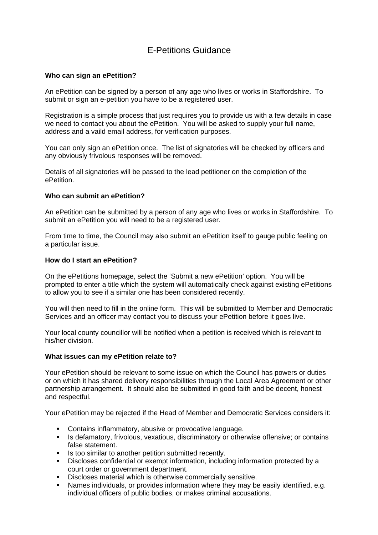# E-Petitions Guidance

#### **Who can sign an ePetition?**

An ePetition can be signed by a person of any age who lives or works in Staffordshire. To submit or sign an e-petition you have to be a registered user.

Registration is a simple process that just requires you to provide us with a few details in case we need to contact you about the ePetition. You will be asked to supply your full name, address and a vaild email address, for verification purposes.

You can only sign an ePetition once. The list of signatories will be checked by officers and any obviously frivolous responses will be removed.

Details of all signatories will be passed to the lead petitioner on the completion of the ePetition.

#### **Who can submit an ePetition?**

An ePetition can be submitted by a person of any age who lives or works in Staffordshire. To submit an ePetition you will need to be a registered user.

From time to time, the Council may also submit an ePetition itself to gauge public feeling on a particular issue.

#### **How do I start an ePetition?**

On the ePetitions homepage, select the 'Submit a new ePetition' option. You will be prompted to enter a title which the system will automatically check against existing ePetitions to allow you to see if a similar one has been considered recently.

You will then need to fill in the online form. This will be submitted to Member and Democratic Services and an officer may contact you to discuss your ePetition before it goes live.

Your local county councillor will be notified when a petition is received which is relevant to his/her division.

#### **What issues can my ePetition relate to?**

Your ePetition should be relevant to some issue on which the Council has powers or duties or on which it has shared delivery responsibilities through the Local Area Agreement or other partnership arrangement. It should also be submitted in good faith and be decent, honest and respectful.

Your ePetition may be rejected if the Head of Member and Democratic Services considers it:

- Contains inflammatory, abusive or provocative language.
- **IS defamatory, frivolous, vexatious, discriminatory or otherwise offensive; or contains** false statement.
- Is too similar to another petition submitted recently.
- Discloses confidential or exempt information, including information protected by a court order or government department.
- Discloses material which is otherwise commercially sensitive.
- Names individuals, or provides information where they may be easily identified, e.g. individual officers of public bodies, or makes criminal accusations.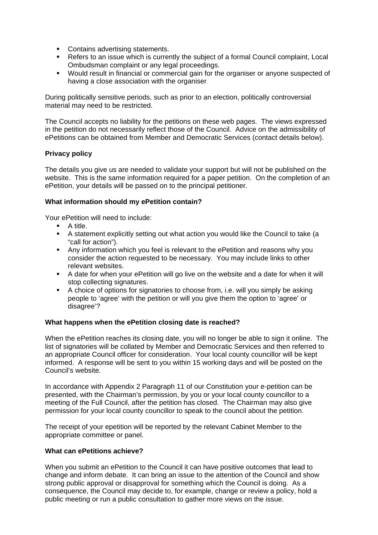- **Contains advertising statements.**
- Refers to an issue which is currently the subject of a formal Council complaint, Local Ombudsman complaint or any legal proceedings.
- Would result in financial or commercial gain for the organiser or anyone suspected of having a close association with the organiser

During politically sensitive periods, such as prior to an election, politically controversial material may need to be restricted.

The Council accepts no liability for the petitions on these web pages. The views expressed in the petition do not necessarily reflect those of the Council. Advice on the admissibility of ePetitions can be obtained from Member and Democratic Services (contact details below).

## **Privacy policy**

The details you give us are needed to validate your support but will not be published on the website. This is the same information required for a paper petition. On the completion of an ePetition, your details will be passed on to the principal petitioner.

## **What information should my ePetition contain?**

Your ePetition will need to include:

- **A** title.
- A statement explicitly setting out what action you would like the Council to take (a "call for action").
- Any information which you feel is relevant to the ePetition and reasons why you consider the action requested to be necessary. You may include links to other relevant websites.
- A date for when your ePetition will go live on the website and a date for when it will stop collecting signatures.
- A choice of options for signatories to choose from, i.e. will you simply be asking people to 'agree' with the petition or will you give them the option to 'agree' or disagree'?

## **What happens when the ePetition closing date is reached?**

When the ePetition reaches its closing date, you will no longer be able to sign it online. The list of signatories will be collated by Member and Democratic Services and then referred to an appropriate Council officer for consideration. Your local county councillor will be kept informed. A response will be sent to you within 15 working days and will be posted on the Council's website.

In accordance with Appendix 2 Paragraph 11 of our Constitution your e-petition can be presented, with the Chairman's permission, by you or your local county councillor to a meeting of the Full Council, after the petition has closed. The Chairman may also give permission for your local county councillor to speak to the council about the petition.

The receipt of your epetition will be reported by the relevant Cabinet Member to the appropriate committee or panel.

## **What can ePetitions achieve?**

When you submit an ePetition to the Council it can have positive outcomes that lead to change and inform debate. It can bring an issue to the attention of the Council and show strong public approval or disapproval for something which the Council is doing. As a consequence, the Council may decide to, for example, change or review a policy, hold a public meeting or run a public consultation to gather more views on the issue.